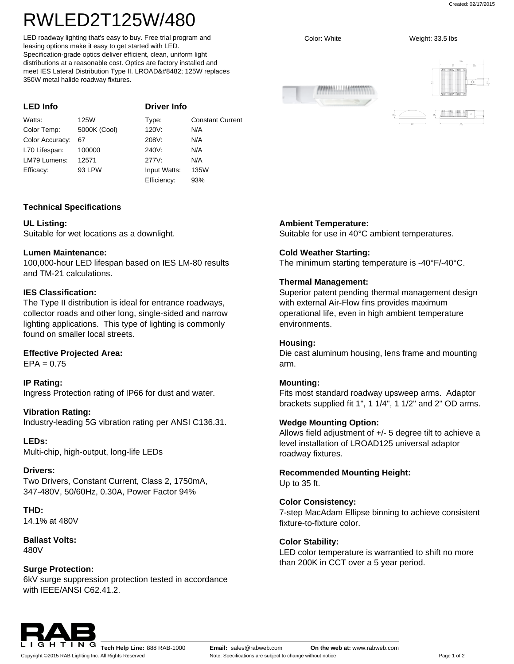# RWLED2T125W/480

LED roadway lighting that's easy to buy. Free trial program and leasing options make it easy to get started with LED. Specification-grade optics deliver efficient, clean, uniform light distributions at a reasonable cost. Optics are factory installed and meet IES Lateral Distribution Type II. LROAD™ 125W replaces 350W metal halide roadway fixtures.

| <b>LED Info</b> |              | <b>Driver Info</b> |                         |
|-----------------|--------------|--------------------|-------------------------|
| Watts:          | 125W         | Type:              | <b>Constant Current</b> |
| Color Temp:     | 5000K (Cool) | 120V:              | N/A                     |
| Color Accuracy: | 67           | 208V:              | N/A                     |
| L70 Lifespan:   | 100000       | 240V.              | N/A                     |
| LM79 Lumens:    | 12571        | 277V:              | N/A                     |
| Efficacy:       | 93 LPW       | Input Watts:       | 135W                    |
|                 |              | Efficiency:        | 93%                     |

## **Technical Specifications**

## **UL Listing:**

Suitable for wet locations as a downlight.

## **Lumen Maintenance:**

100,000-hour LED lifespan based on IES LM-80 results and TM-21 calculations.

## **IES Classification:**

The Type II distribution is ideal for entrance roadways, collector roads and other long, single-sided and narrow lighting applications. This type of lighting is commonly found on smaller local streets.

## **Effective Projected Area:**

 $EPA = 0.75$ 

**IP Rating:** Ingress Protection rating of IP66 for dust and water.

## **Vibration Rating:**

Industry-leading 5G vibration rating per ANSI C136.31.

**LEDs:** Multi-chip, high-output, long-life LEDs

## **Drivers:**

Two Drivers, Constant Current, Class 2, 1750mA, 347-480V, 50/60Hz, 0.30A, Power Factor 94%

**THD:** 14.1% at 480V

**Ballast Volts:** 480V

## **Surge Protection:**

6kV surge suppression protection tested in accordance with IEEE/ANSI C62.41.2.

**Ambient Temperature:**

Suitable for use in 40°C ambient temperatures.

## **Cold Weather Starting:**

The minimum starting temperature is -40°F/-40°C.

## **Thermal Management:**

Superior patent pending thermal management design with external Air-Flow fins provides maximum operational life, even in high ambient temperature environments.

#### **Housing:**

Die cast aluminum housing, lens frame and mounting arm.

## **Mounting:**

Fits most standard roadway upsweep arms. Adaptor brackets supplied fit 1", 1 1/4", 1 1/2" and 2" OD arms.

## **Wedge Mounting Option:**

Allows field adjustment of +/- 5 degree tilt to achieve a level installation of LROAD125 universal adaptor roadway fixtures.

**Recommended Mounting Height:** Up to 35 ft.

### **Color Consistency:**

7-step MacAdam Ellipse binning to achieve consistent fixture-to-fixture color.

## **Color Stability:**

LED color temperature is warrantied to shift no more than 200K in CCT over a 5 year period.



Copyright ©2015 RAB Lighting Inc. All Rights Reserved

ANNIUSSIA

Color: White Weight: 33.5 lbs